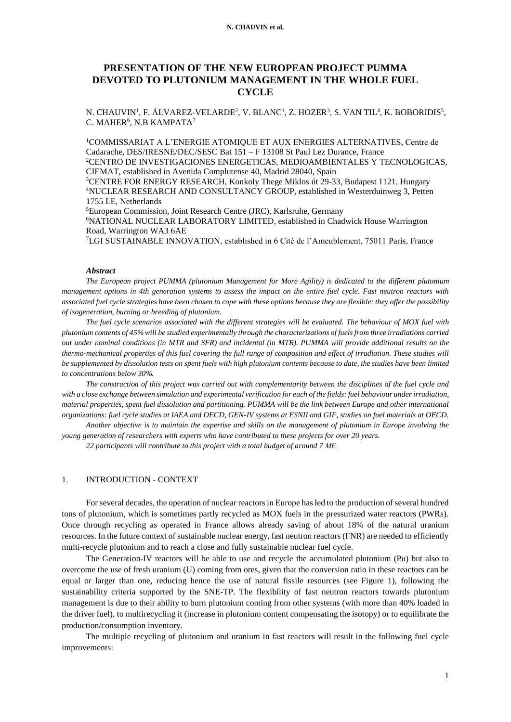#### **N. CHAUVIN et al.**

# **PRESENTATION OF THE NEW EUROPEAN PROJECT PUMMA DEVOTED TO PLUTONIUM MANAGEMENT IN THE WHOLE FUEL CYCLE**

N. CHAUVIN<sup>1</sup>, F. ÁLVAREZ-VELARDE<sup>2</sup>, V. BLANC<sup>1</sup>, Z. HOZER<sup>3</sup>, S. VAN TIL<sup>4</sup>, K. BOBORIDIS<sup>5</sup>, C. MAHER<sup>6</sup>, N.B KAMPATA<sup>7</sup>

<sup>1</sup>COMMISSARIAT A L'ENERGIE ATOMIQUE ET AUX ENERGIES ALTERNATIVES, Centre de Cadarache, DES/IRESNE/DEC/SESC Bat 151 – F 13108 St Paul Lez Durance, France <sup>2</sup>CENTRO DE INVESTIGACIONES ENERGETICAS, MEDIOAMBIENTALES Y TECNOLOGICAS, CIEMAT, established in Avenida Complutense 40, Madrid 28040, Spain <sup>3</sup>CENTRE FOR ENERGY RESEARCH, Konkoly Thege Miklos út 29-33, Budapest 1121, Hungary <sup>4</sup>NUCLEAR RESEARCH AND CONSULTANCY GROUP, established in Westerduinweg 3, Petten 1755 LE, Netherlands

<sup>5</sup>European Commission, Joint Research Centre (JRC), Karlsruhe, Germany <sup>6</sup>NATIONAL NUCLEAR LABORATORY LIMITED, established in Chadwick House Warrington Road, Warrington WA3 6AE

<sup>7</sup>LGI SUSTAINABLE INNOVATION, established in 6 Cité de l'Ameublement, 75011 Paris, France

### *Abstract*

*The European project PUMMA (plutonium Management for More Agility) is dedicated to the different plutonium management options in 4th generation systems to assess the impact on the entire fuel cycle. Fast neutron reactors with associated fuel cycle strategies have been chosen to cope with these options because they are flexible: they offer the possibility of isogeneration, burning or breeding of plutonium.*

*The fuel cycle scenarios associated with the different strategies will be evaluated. The behaviour of MOX fuel with plutonium contents of 45% will be studied experimentally through the characterizations of fuels from three irradiations carried out under nominal conditions (in MTR and SFR) and incidental (in MTR). PUMMA will provide additional results on the thermo-mechanical properties of this fuel covering the full range of composition and effect of irradiation. These studies will be supplemented by dissolution tests on spent fuels with high plutonium contents because to date, the studies have been limited to concentrations below 30%.*

*The construction of this project was carried out with complementarity between the disciplines of the fuel cycle and with a close exchange between simulation and experimental verification for each of the fields: fuel behaviour under irradiation, material properties, spent fuel dissolution and partitioning. PUMMA will be the link between Europe and other international organizations: fuel cycle studies at IAEA and OECD, GEN-IV systems at ESNII and GIF, studies on fuel materials at OECD. Another objective is to maintain the expertise and skills on the management of plutonium in Europe involving the* 

*young generation of researchers with experts who have contributed to these projects for over 20 years.*

*22 participants will contribute to this project with a total budget of around 7 M€.* 

### 1. INTRODUCTION - CONTEXT

For several decades, the operation of nuclear reactors in Europe has led to the production of several hundred tons of plutonium, which is sometimes partly recycled as MOX fuels in the pressurized water reactors (PWRs). Once through recycling as operated in France allows already saving of about 18% of the natural uranium resources. In the future context of sustainable nuclear energy, fast neutron reactors (FNR) are needed to efficiently multi-recycle plutonium and to reach a close and fully sustainable nuclear fuel cycle.

The Generation-IV reactors will be able to use and recycle the accumulated plutonium (Pu) but also to overcome the use of fresh uranium (U) coming from ores, given that the conversion ratio in these reactors can be equal or larger than one, reducing hence the use of natural fissile resources (see Figure 1), following the sustainability criteria supported by the SNE-TP. The flexibility of fast neutron reactors towards plutonium management is due to their ability to burn plutonium coming from other systems (with more than 40% loaded in the driver fuel), to multirecycling it (increase in plutonium content compensating the isotopy) or to equilibrate the production/consumption inventory.

The multiple recycling of plutonium and uranium in fast reactors will result in the following fuel cycle improvements: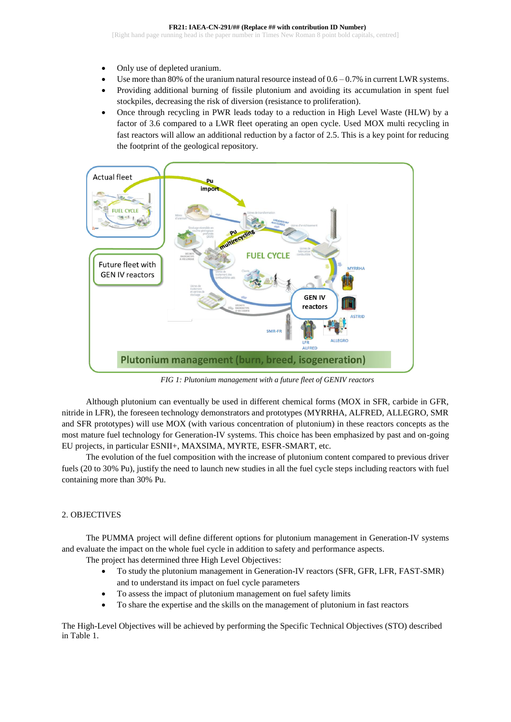- Only use of depleted uranium.
- Use more than 80% of the uranium natural resource instead of  $0.6 0.7\%$  in current LWR systems.
- Providing additional burning of fissile plutonium and avoiding its accumulation in spent fuel stockpiles, decreasing the risk of diversion (resistance to proliferation).
- Once through recycling in PWR leads today to a reduction in High Level Waste (HLW) by a factor of 3.6 compared to a LWR fleet operating an open cycle. Used MOX multi recycling in fast reactors will allow an additional reduction by a factor of 2.5. This is a key point for reducing the footprint of the geological repository.



*FIG 1: Plutonium management with a future fleet of GENIV reactors*

Although plutonium can eventually be used in different chemical forms (MOX in SFR, carbide in GFR, nitride in LFR), the foreseen technology demonstrators and prototypes (MYRRHA, ALFRED, ALLEGRO, SMR and SFR prototypes) will use MOX (with various concentration of plutonium) in these reactors concepts as the most mature fuel technology for Generation-IV systems. This choice has been emphasized by past and on-going EU projects, in particular ESNII+, MAXSIMA, MYRTE, ESFR-SMART, etc.

The evolution of the fuel composition with the increase of plutonium content compared to previous driver fuels (20 to 30% Pu), justify the need to launch new studies in all the fuel cycle steps including reactors with fuel containing more than 30% Pu.

## 2. OBJECTIVES

The PUMMA project will define different options for plutonium management in Generation-IV systems and evaluate the impact on the whole fuel cycle in addition to safety and performance aspects.

The project has determined three High Level Objectives:

- To study the plutonium management in Generation-IV reactors (SFR, GFR, LFR, FAST-SMR) and to understand its impact on fuel cycle parameters
- To assess the impact of plutonium management on fuel safety limits
- To share the expertise and the skills on the management of plutonium in fast reactors

The High-Level Objectives will be achieved by performing the Specific Technical Objectives (STO) described in [Table 1.](#page-2-0)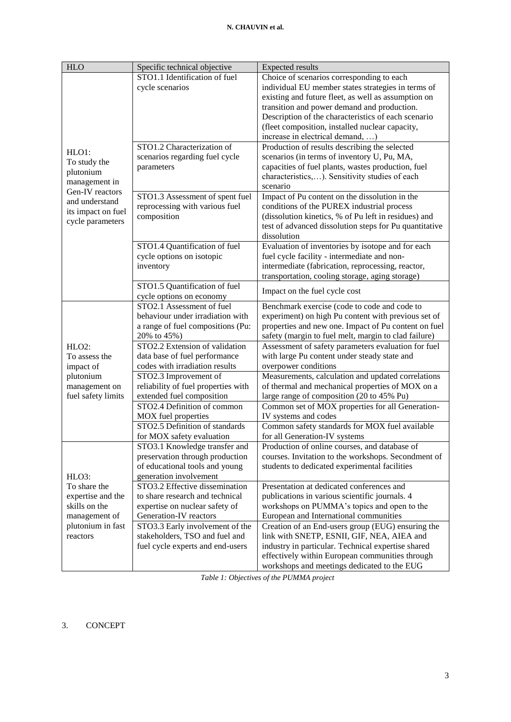| <b>HLO</b>         | Specific technical objective        | <b>Expected results</b>                                |
|--------------------|-------------------------------------|--------------------------------------------------------|
|                    | STO1.1 Identification of fuel       | Choice of scenarios corresponding to each              |
|                    | cycle scenarios                     | individual EU member states strategies in terms of     |
|                    |                                     | existing and future fleet, as well as assumption on    |
|                    |                                     | transition and power demand and production.            |
|                    |                                     | Description of the characteristics of each scenario    |
|                    |                                     | (fleet composition, installed nuclear capacity,        |
|                    |                                     | increase in electrical demand, )                       |
|                    | STO1.2 Characterization of          | Production of results describing the selected          |
| HLO1:              | scenarios regarding fuel cycle      | scenarios (in terms of inventory U, Pu, MA,            |
| To study the       | parameters                          | capacities of fuel plants, wastes production, fuel     |
| plutonium          |                                     | characteristics,). Sensitivity studies of each         |
| management in      |                                     | scenario                                               |
| Gen-IV reactors    | STO1.3 Assessment of spent fuel     | Impact of Pu content on the dissolution in the         |
| and understand     | reprocessing with various fuel      | conditions of the PUREX industrial process             |
| its impact on fuel | composition                         | (dissolution kinetics, % of Pu left in residues) and   |
| cycle parameters   |                                     | test of advanced dissolution steps for Pu quantitative |
|                    |                                     | dissolution                                            |
|                    | STO1.4 Quantification of fuel       | Evaluation of inventories by isotope and for each      |
|                    | cycle options on isotopic           | fuel cycle facility - intermediate and non-            |
|                    | inventory                           | intermediate (fabrication, reprocessing, reactor,      |
|                    |                                     | transportation, cooling storage, aging storage)        |
|                    | STO1.5 Quantification of fuel       | Impact on the fuel cycle cost                          |
|                    | cycle options on economy            |                                                        |
|                    | STO2.1 Assessment of fuel           | Benchmark exercise (code to code and code to           |
|                    | behaviour under irradiation with    | experiment) on high Pu content with previous set of    |
|                    | a range of fuel compositions (Pu:   | properties and new one. Impact of Pu content on fuel   |
|                    | 20% to 45%)                         | safety (margin to fuel melt, margin to clad failure)   |
| $HLO2$ :           | STO2.2 Extension of validation      | Assessment of safety parameters evaluation for fuel    |
| To assess the      | data base of fuel performance       | with large Pu content under steady state and           |
| impact of          | codes with irradiation results      | overpower conditions                                   |
| plutonium          | STO2.3 Improvement of               | Measurements, calculation and updated correlations     |
| management on      | reliability of fuel properties with | of thermal and mechanical properties of MOX on a       |
| fuel safety limits | extended fuel composition           | large range of composition (20 to 45% Pu)              |
|                    | STO2.4 Definition of common         | Common set of MOX properties for all Generation-       |
|                    | MOX fuel properties                 | IV systems and codes                                   |
|                    | STO2.5 Definition of standards      | Common safety standards for MOX fuel available         |
|                    | for MOX safety evaluation           | for all Generation-IV systems                          |
|                    | STO3.1 Knowledge transfer and       | Production of online courses, and database of          |
|                    | preservation through production     | courses. Invitation to the workshops. Secondment of    |
|                    | of educational tools and young      | students to dedicated experimental facilities          |
| HLO3:              | generation involvement              |                                                        |
| To share the       | STO3.2 Effective dissemination      | Presentation at dedicated conferences and              |
| expertise and the  | to share research and technical     | publications in various scientific journals. 4         |
| skills on the      | expertise on nuclear safety of      | workshops on PUMMA's topics and open to the            |
| management of      | Generation-IV reactors              | European and International communities                 |
| plutonium in fast  | STO3.3 Early involvement of the     | Creation of an End-users group (EUG) ensuring the      |
| reactors           | stakeholders, TSO and fuel and      | link with SNETP, ESNII, GIF, NEA, AIEA and             |
|                    | fuel cycle experts and end-users    | industry in particular. Technical expertise shared     |
|                    |                                     | effectively within European communities through        |
|                    |                                     | workshops and meetings dedicated to the EUG            |

*Table 1: Objectives of the PUMMA project*

# <span id="page-2-0"></span>3. CONCEPT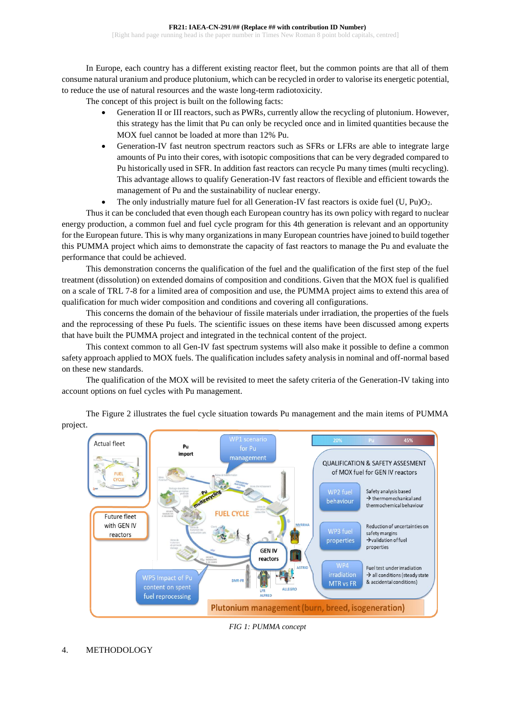In Europe, each country has a different existing reactor fleet, but the common points are that all of them consume natural uranium and produce plutonium, which can be recycled in order to valorise its energetic potential, to reduce the use of natural resources and the waste long-term radiotoxicity.

The concept of this project is built on the following facts:

- Generation II or III reactors, such as PWRs, currently allow the recycling of plutonium. However, this strategy has the limit that Pu can only be recycled once and in limited quantities because the MOX fuel cannot be loaded at more than 12% Pu.
- Generation-IV fast neutron spectrum reactors such as SFRs or LFRs are able to integrate large amounts of Pu into their cores, with isotopic compositions that can be very degraded compared to Pu historically used in SFR. In addition fast reactors can recycle Pu many times (multi recycling). This advantage allows to qualify Generation-IV fast reactors of flexible and efficient towards the management of Pu and the sustainability of nuclear energy.
- The only industrially mature fuel for all Generation-IV fast reactors is oxide fuel  $(U, Pu)O<sub>2</sub>$ .

Thus it can be concluded that even though each European country has its own policy with regard to nuclear energy production, a common fuel and fuel cycle program for this 4th generation is relevant and an opportunity for the European future. This is why many organizations in many European countries have joined to build together this PUMMA project which aims to demonstrate the capacity of fast reactors to manage the Pu and evaluate the performance that could be achieved.

This demonstration concerns the qualification of the fuel and the qualification of the first step of the fuel treatment (dissolution) on extended domains of composition and conditions. Given that the MOX fuel is qualified on a scale of TRL 7-8 for a limited area of composition and use, the PUMMA project aims to extend this area of qualification for much wider composition and conditions and covering all configurations.

This concerns the domain of the behaviour of fissile materials under irradiation, the properties of the fuels and the reprocessing of these Pu fuels. The scientific issues on these items have been discussed among experts that have built the PUMMA project and integrated in the technical content of the project.

This context common to all Gen-IV fast spectrum systems will also make it possible to define a common safety approach applied to MOX fuels. The qualification includes safety analysis in nominal and off-normal based on these new standards.

The qualification of the MOX will be revisited to meet the safety criteria of the Generation-IV taking into account options on fuel cycles with Pu management.



The Figure 2 illustrates the fuel cycle situation towards Pu management and the main items of PUMMA project.

*FIG 1: PUMMA concept*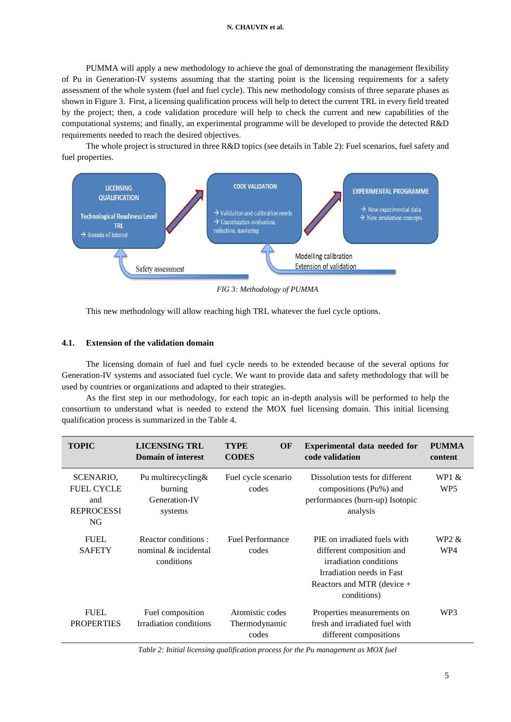#### **N. CHAUVIN et al.**

PUMMA will apply a new methodology to achieve the goal of demonstrating the management flexibility of Pu in Generation-IV systems assuming that the starting point is the licensing requirements for a safety assessment of the whole system (fuel and fuel cycle). This new methodology consists of three separate phases as shown in Figure 3. First, a licensing qualification process will help to detect the current TRL in every field treated by the project; then, a code validation procedure will help to check the current and new capabilities of the computational systems; and finally, an experimental programme will be developed to provide the detected R&D requirements needed to reach the desired objectives.

The whole project is structured in three R&D topics (see details in Table 2): Fuel scenarios, fuel safety and fuel properties.



*FIG 3: Methodology of PUMMA*

This new methodology will allow reaching high TRL whatever the fuel cycle options.

### **4.1. Extension of the validation domain**

The licensing domain of fuel and fuel cycle needs to be extended because of the several options for Generation-IV systems and associated fuel cycle. We want to provide data and safety methodology that will be used by countries or organizations and adapted to their strategies.

As the first step in our methodology, for each topic an in-depth analysis will be performed to help the consortium to understand what is needed to extend the MOX fuel licensing domain. This initial licensing qualification process is summarized in the Table 4.

| <b>TOPIC</b>                                                     | <b>LICENSING TRL</b><br><b>Domain of interest</b>            | <b>TYPE</b><br>OF<br><b>CODES</b>         | Experimental data needed for<br>code validation                                                                                                                 | <b>PUMMA</b><br>content    |
|------------------------------------------------------------------|--------------------------------------------------------------|-------------------------------------------|-----------------------------------------------------------------------------------------------------------------------------------------------------------------|----------------------------|
| SCENARIO.<br><b>FUEL CYCLE</b><br>and<br><b>REPROCESSI</b><br>NG | Pu multirecycling $&$<br>burning<br>Generation-IV<br>systems | Fuel cycle scenario<br>codes              | Dissolution tests for different<br>compositions (Pu%) and<br>performances (burn-up) Isotopic<br>analysis                                                        | WP1 $&$<br>WP <sub>5</sub> |
| <b>FUEL</b><br><b>SAFETY</b>                                     | Reactor conditions:<br>nominal $\&$ incidental<br>conditions | <b>Fuel Performance</b><br>codes          | PIE on irradiated fuels with<br>different composition and<br>irradiation conditions<br>Irradiation needs in Fast<br>Reactors and MTR (device $+$<br>conditions) | WP2 &<br>WP4               |
| <b>FUEL</b><br><b>PROPERTIES</b>                                 | Fuel composition<br>Irradiation conditions                   | Atomistic codes<br>Thermodynamic<br>codes | Properties measurements on<br>fresh and irradiated fuel with<br>different compositions                                                                          | WP3                        |

*Table 2: Initial licensing qualification process for the Pu management as MOX fuel*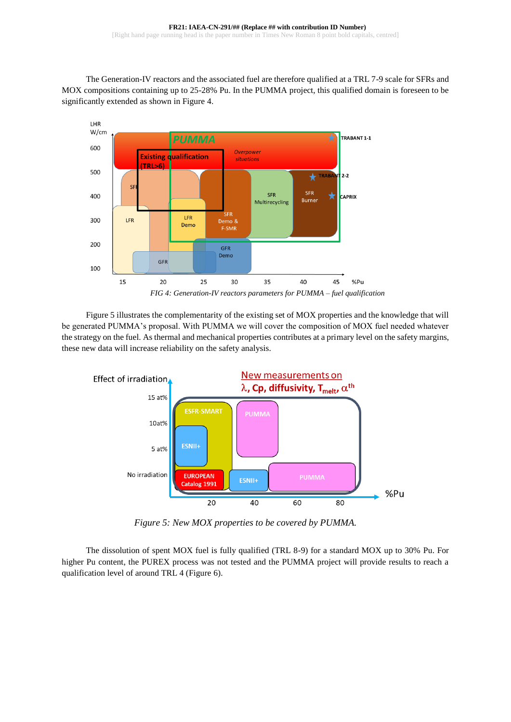The Generation-IV reactors and the associated fuel are therefore qualified at a TRL 7-9 scale for SFRs and MOX compositions containing up to 25-28% Pu. In the PUMMA project, this qualified domain is foreseen to be significantly extended as shown in Figure 4.



Figure 5 illustrates the complementarity of the existing set of MOX properties and the knowledge that will be generated PUMMA's proposal. With PUMMA we will cover the composition of MOX fuel needed whatever the strategy on the fuel. As thermal and mechanical properties contributes at a primary level on the safety margins, these new data will increase reliability on the safety analysis.



*Figure 5: New MOX properties to be covered by PUMMA.* 

The dissolution of spent MOX fuel is fully qualified (TRL 8-9) for a standard MOX up to 30% Pu. For higher Pu content, the PUREX process was not tested and the PUMMA project will provide results to reach a qualification level of around TRL 4 (Figure 6).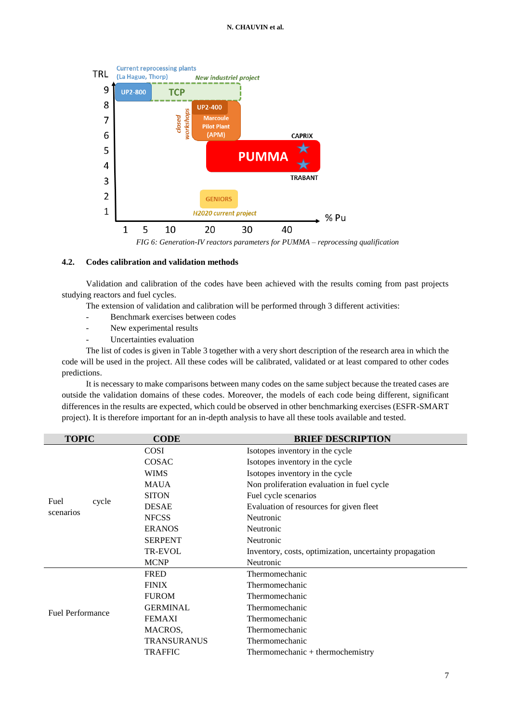### **N. CHAUVIN et al.**



*FIG 6: Generation-IV reactors parameters for PUMMA – reprocessing qualification*

## **4.2. Codes calibration and validation methods**

Validation and calibration of the codes have been achieved with the results coming from past projects studying reactors and fuel cycles.

The extension of validation and calibration will be performed through 3 different activities:

- Benchmark exercises between codes
- New experimental results
- Uncertainties evaluation

The list of codes is given in Table 3 together with a very short description of the research area in which the code will be used in the project. All these codes will be calibrated, validated or at least compared to other codes predictions.

It is necessary to make comparisons between many codes on the same subject because the treated cases are outside the validation domains of these codes. Moreover, the models of each code being different, significant differences in the results are expected, which could be observed in other benchmarking exercises (ESFR-SMART project). It is therefore important for an in-depth analysis to have all these tools available and tested.

| <b>TOPIC</b>            | <b>CODE</b>        | <b>BRIEF DESCRIPTION</b>                                |
|-------------------------|--------------------|---------------------------------------------------------|
|                         | <b>COSI</b>        | Isotopes inventory in the cycle                         |
|                         | <b>COSAC</b>       | Isotopes inventory in the cycle                         |
|                         | <b>WIMS</b>        | Isotopes inventory in the cycle                         |
|                         | <b>MAUA</b>        | Non proliferation evaluation in fuel cycle              |
| Fuel                    | <b>SITON</b>       | Fuel cycle scenarios                                    |
| cycle                   | <b>DESAE</b>       | Evaluation of resources for given fleet                 |
| scenarios               | <b>NFCSS</b>       | Neutronic                                               |
|                         | <b>ERANOS</b>      | Neutronic                                               |
|                         | <b>SERPENT</b>     | Neutronic                                               |
|                         | <b>TR-EVOL</b>     | Inventory, costs, optimization, uncertainty propagation |
|                         | <b>MCNP</b>        | Neutronic                                               |
|                         | <b>FRED</b>        | Thermomechanic                                          |
|                         | <b>FINIX</b>       | Thermomechanic                                          |
|                         | <b>FUROM</b>       | Thermomechanic                                          |
| <b>Fuel Performance</b> | <b>GERMINAL</b>    | Thermomechanic                                          |
|                         | <b>FEMAXI</b>      | Thermomechanic                                          |
|                         | MACROS,            | Thermomechanic                                          |
|                         | <b>TRANSURANUS</b> | Thermomechanic                                          |
|                         | <b>TRAFFIC</b>     | Thermomechanic $+$ thermochemistry                      |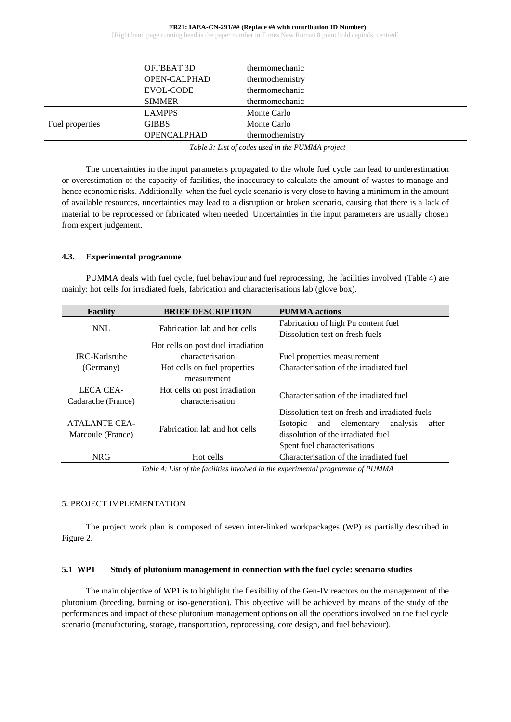#### **FR21: IAEA-CN-291/## (Replace ## with contribution ID Number)** [Right hand page running head is the paper number in Times New Roman 8 point bold capitals, centred]

|                 | OFFBEAT 3D<br><b>OPEN-CALPHAD</b> | thermomechanic<br>thermochemistry |
|-----------------|-----------------------------------|-----------------------------------|
|                 | EVOL-CODE<br><b>SIMMER</b>        | thermomechanic<br>thermomechanic  |
|                 | <b>LAMPPS</b>                     | Monte Carlo                       |
| Fuel properties | <b>GIBBS</b>                      | Monte Carlo                       |
|                 | <b>OPENCALPHAD</b>                | thermochemistry                   |

*Table 3: List of codes used in the PUMMA project*

The uncertainties in the input parameters propagated to the whole fuel cycle can lead to underestimation or overestimation of the capacity of facilities, the inaccuracy to calculate the amount of wastes to manage and hence economic risks. Additionally, when the fuel cycle scenario is very close to having a minimum in the amount of available resources, uncertainties may lead to a disruption or broken scenario, causing that there is a lack of material to be reprocessed or fabricated when needed. Uncertainties in the input parameters are usually chosen from expert judgement.

## **4.3. Experimental programme**

PUMMA deals with fuel cycle, fuel behaviour and fuel reprocessing, the facilities involved (Table 4) are mainly: hot cells for irradiated fuels, fabrication and characterisations lab (glove box).

| <b>Facility</b>                           | <b>BRIEF DESCRIPTION</b>                          | <b>PUMMA</b> actions                                                                                                                                                    |
|-------------------------------------------|---------------------------------------------------|-------------------------------------------------------------------------------------------------------------------------------------------------------------------------|
| <b>NNL</b>                                | Fabrication lab and hot cells                     | Fabrication of high Pu content fuel                                                                                                                                     |
|                                           |                                                   | Dissolution test on fresh fuels                                                                                                                                         |
|                                           | Hot cells on post duel irradiation                |                                                                                                                                                                         |
| JRC-Karlsruhe                             | characterisation                                  | Fuel properties measurement                                                                                                                                             |
| (Germany)                                 | Hot cells on fuel properties<br>measurement       | Characterisation of the irradiated fuel                                                                                                                                 |
| LECA CEA-<br>Cadarache (France)           | Hot cells on post irradiation<br>characterisation | Characterisation of the irradiated fuel                                                                                                                                 |
| <b>ATALANTE CEA-</b><br>Marcoule (France) | Fabrication lab and hot cells                     | Dissolution test on fresh and irradiated fuels<br>analysis<br>after<br>and elementary<br>Isotopic<br>dissolution of the irradiated fuel<br>Spent fuel characterisations |
| <b>NRG</b>                                | Hot cells                                         | Characterisation of the irradiated fuel                                                                                                                                 |
|                                           |                                                   |                                                                                                                                                                         |

*Table 4: List of the facilities involved in the experimental programme of PUMMA*

## 5. PROJECT IMPLEMENTATION

The project work plan is composed of seven inter-linked workpackages (WP) as partially described in Figure 2.

## **5.1 WP1 Study of plutonium management in connection with the fuel cycle: scenario studies**

The main objective of WP1 is to highlight the flexibility of the Gen-IV reactors on the management of the plutonium (breeding, burning or iso-generation). This objective will be achieved by means of the study of the performances and impact of these plutonium management options on all the operations involved on the fuel cycle scenario (manufacturing, storage, transportation, reprocessing, core design, and fuel behaviour).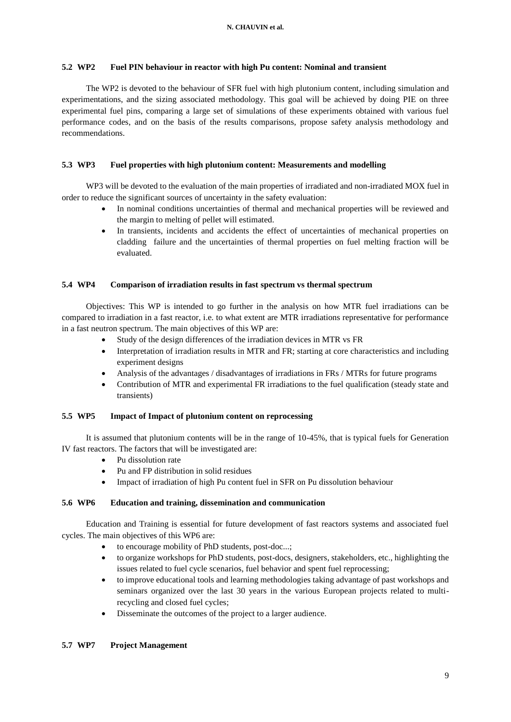## **5.2 WP2 Fuel PIN behaviour in reactor with high Pu content: Nominal and transient**

The WP2 is devoted to the behaviour of SFR fuel with high plutonium content, including simulation and experimentations, and the sizing associated methodology. This goal will be achieved by doing PIE on three experimental fuel pins, comparing a large set of simulations of these experiments obtained with various fuel performance codes, and on the basis of the results comparisons, propose safety analysis methodology and recommendations.

## **5.3 WP3 Fuel properties with high plutonium content: Measurements and modelling**

WP3 will be devoted to the evaluation of the main properties of irradiated and non-irradiated MOX fuel in order to reduce the significant sources of uncertainty in the safety evaluation:

- In nominal conditions uncertainties of thermal and mechanical properties will be reviewed and the margin to melting of pellet will estimated.
- In transients, incidents and accidents the effect of uncertainties of mechanical properties on cladding failure and the uncertainties of thermal properties on fuel melting fraction will be evaluated.

## **5.4 WP4 Comparison of irradiation results in fast spectrum vs thermal spectrum**

Objectives: This WP is intended to go further in the analysis on how MTR fuel irradiations can be compared to irradiation in a fast reactor, i.e. to what extent are MTR irradiations representative for performance in a fast neutron spectrum. The main objectives of this WP are:

- Study of the design differences of the irradiation devices in MTR vs FR
- Interpretation of irradiation results in MTR and FR; starting at core characteristics and including experiment designs
- Analysis of the advantages / disadvantages of irradiations in FRs / MTRs for future programs
- Contribution of MTR and experimental FR irradiations to the fuel qualification (steady state and transients)

## **5.5 WP5 Impact of Impact of plutonium content on reprocessing**

It is assumed that plutonium contents will be in the range of 10-45%, that is typical fuels for Generation IV fast reactors. The factors that will be investigated are:

- Pu dissolution rate
- Pu and FP distribution in solid residues
- Impact of irradiation of high Pu content fuel in SFR on Pu dissolution behaviour

## **5.6 WP6 Education and training, dissemination and communication**

Education and Training is essential for future development of fast reactors systems and associated fuel cycles. The main objectives of this WP6 are:

- to encourage mobility of PhD students, post-doc...;
- to organize workshops for PhD students, post-docs, designers, stakeholders, etc., highlighting the issues related to fuel cycle scenarios, fuel behavior and spent fuel reprocessing;
- to improve educational tools and learning methodologies taking advantage of past workshops and seminars organized over the last 30 years in the various European projects related to multirecycling and closed fuel cycles;
- Disseminate the outcomes of the project to a larger audience.

# **5.7 WP7 Project Management**